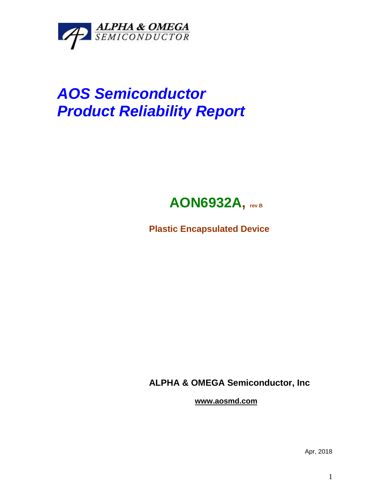

## *AOS Semiconductor Product Reliability Report*



**Plastic Encapsulated Device**

**ALPHA & OMEGA Semiconductor, Inc**

**www.aosmd.com**

Apr, 2018